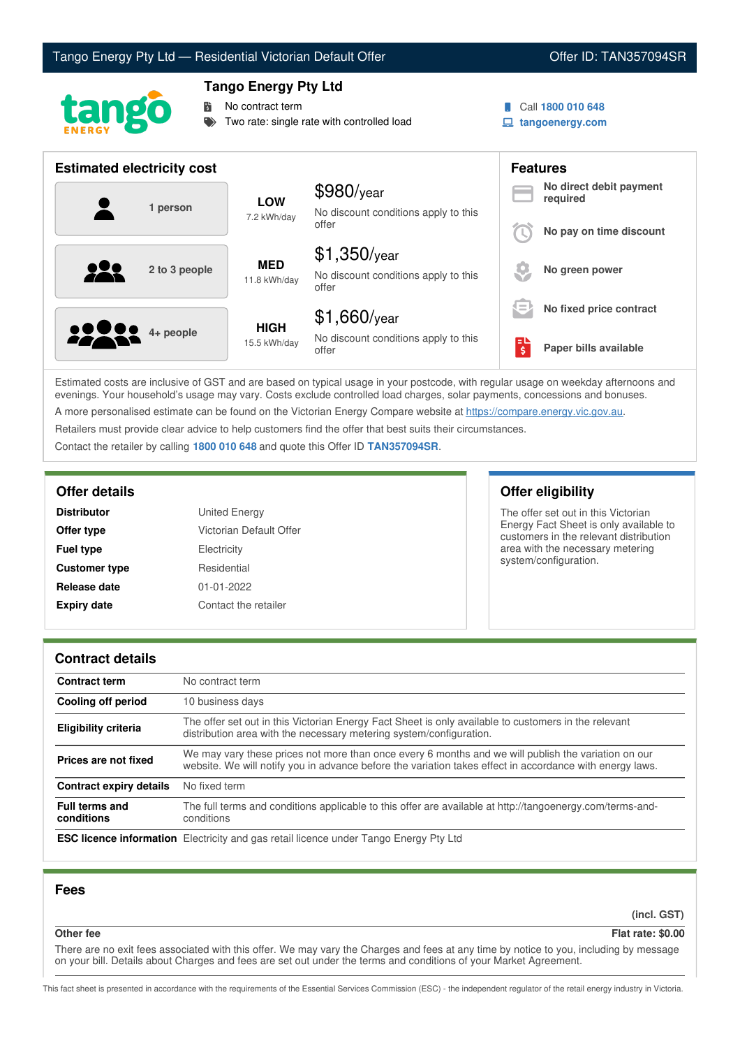# Tango Energy Pty Ltd — Residential Victorian Default Offer **Communist Communist Communist Communist Communist Communist Communist Communist Communist Communist Communist Communist Communist Communist Communist Communist Co**



# **Tango Energy Pty Ltd**

No contract term

Two rate: single rate with controlled load

Call **1800 010 648**

**tangoenergy.com**

| <b>Estimated electricity cost</b> |               |                             |                                                                 |                               | <b>Features</b>                     |  |
|-----------------------------------|---------------|-----------------------------|-----------------------------------------------------------------|-------------------------------|-------------------------------------|--|
|                                   | 1 person      | <b>LOW</b><br>7.2 kWh/day   | $$980$ /year<br>No discount conditions apply to this<br>offer   |                               | No direct debit payment<br>required |  |
|                                   |               |                             |                                                                 |                               | No pay on time discount             |  |
|                                   | 2 to 3 people | <b>MED</b><br>11.8 kWh/day  | $$1,350$ /year<br>No discount conditions apply to this<br>offer |                               | No green power                      |  |
|                                   |               |                             | $$1,660$ /year                                                  | $=$                           | No fixed price contract             |  |
| <b>00000</b> 4+ people            |               | <b>HIGH</b><br>15.5 kWh/day | No discount conditions apply to this<br>offer                   | Еυ<br>$\overline{\mathsf{s}}$ | Paper bills available               |  |

Estimated costs are inclusive of GST and are based on typical usage in your postcode, with regular usage on weekday afternoons and evenings. Your household's usage may vary. Costs exclude controlled load charges, solar payments, concessions and bonuses. A more personalised estimate can be found on the Victorian Energy Compare website at <https://compare.energy.vic.gov.au>.

Retailers must provide clear advice to help customers find the offer that best suits their circumstances.

Contact the retailer by calling **1800 010 648** and quote this Offer ID **TAN357094SR**.

| <b>Distributor</b>   | United Energy           |
|----------------------|-------------------------|
| Offer type           | Victorian Default Offer |
| <b>Fuel type</b>     | Electricity             |
| <b>Customer type</b> | Residential             |
| Release date         | $01 - 01 - 2022$        |
| <b>Expiry date</b>   | Contact the retailer    |

# **Offer details Offer eligibility**

The offer set out in this Victorian Energy Fact Sheet is only available to customers in the relevant distribution area with the necessary metering system/configuration.

## **Contract details**

| <b>Contract term</b>                | No contract term                                                                                                                                                                                                |  |
|-------------------------------------|-----------------------------------------------------------------------------------------------------------------------------------------------------------------------------------------------------------------|--|
| Cooling off period                  | 10 business days                                                                                                                                                                                                |  |
| <b>Eligibility criteria</b>         | The offer set out in this Victorian Energy Fact Sheet is only available to customers in the relevant<br>distribution area with the necessary metering system/configuration.                                     |  |
| Prices are not fixed                | We may vary these prices not more than once every 6 months and we will publish the variation on our<br>website. We will notify you in advance before the variation takes effect in accordance with energy laws. |  |
| <b>Contract expiry details</b>      | No fixed term                                                                                                                                                                                                   |  |
| <b>Full terms and</b><br>conditions | The full terms and conditions applicable to this offer are available at http://tangoenergy.com/terms-and-<br>conditions                                                                                         |  |
|                                     | <b>ESC licence information</b> Electricity and gas retail licence under Tango Energy Pty Ltd                                                                                                                    |  |

## **Fees**

**(incl. GST)**

## **Other fee Flat rate: \$0.00**

There are no exit fees associated with this offer. We may vary the Charges and fees at any time by notice to you, including by message on your bill. Details about Charges and fees are set out under the terms and conditions of your Market Agreement.

This fact sheet is presented in accordance with the requirements of the Essential Services Commission (ESC) - the independent regulator of the retail energy industry in Victoria.